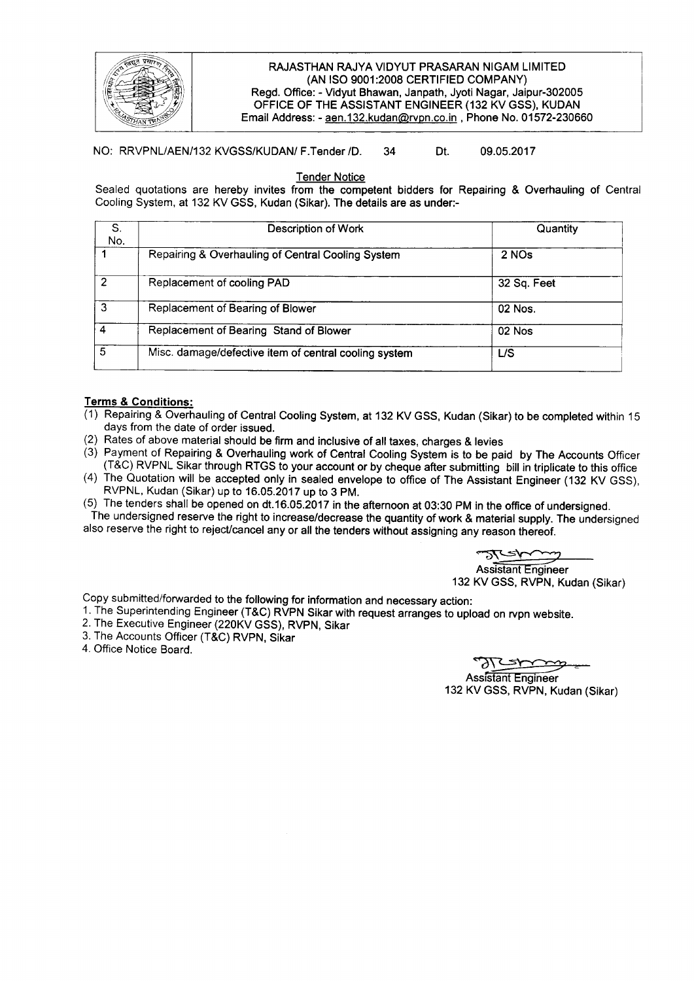

## RAJASTHAN RAJYA VIDYUT PRASARAN NIGAM LIMITED (AN ISO 9001:2008 CERTIFIED COMPANY) Regd. Office: - Vidyut Bhawan, Janpath, Jyoti Nagar, Jaipur-302005 OFFICE OF THE ASSISTANT ENGINEER (132 KV GSS), KUDAN Email Address: - aen.132.kudan@rvpn.co.in, Phone No. 01572-230660

## NO: RRVPNL/AEN/132 KVGSS/KUDAN/ F.Tender /D. 34 Dt. 09.05.2017

Tender Notice

Sealed quotations are hereby invites from the competent bidders for Repairing & Overhauling of Central Cooling System, at 132 KV GSS, Kudan (Sikar). The details are as under:-

| S.<br>No.      | Description of Work                                   | Quantity<br>2 NOs |  |
|----------------|-------------------------------------------------------|-------------------|--|
|                | Repairing & Overhauling of Central Cooling System     |                   |  |
| $\mathfrak{p}$ | Replacement of cooling PAD                            | 32 Sq. Feet       |  |
| 3              | Replacement of Bearing of Blower                      | 02 Nos.           |  |
|                | Replacement of Bearing Stand of Blower                | 02 Nos            |  |
| 5              | Misc. damage/defective item of central cooling system | L/S               |  |

## Terms & Conditions:

- (1) Repairing & Overhauling of Central Cooling System, at 132 KV GSS, Kudan (Sikar) to be completed within 15 days from the date of order issued.
- (2) Rates of above material should be firm and inclusive of all taxes, charges & levies
- (3) Payment of Repairing & Overhauling work of Central Cooling System is to be paid by The Accounts Officer (T&C) RVPNL Sikar through RTGS to your account or by cheque after submitting bill in triplicate to this office
- (4) The Quotation will be accepted only in sealed envelope to office of The Assistant Engineer (132 KV GSS), RVPNL, Kudan (Sikar) up to 16.05.2017 up to 3 PM.
- (5) The tenders shall be opened on dt.16.05.2017 in the afternoon at 03:30 PM in the office of undersigned.

The undersigned reserve the right to increase/decrease the quantity of work & material supply. The undersigned also reserve the right to reject/cancel any or all the tenders without assigning any reason thereof.

Assistant Engineer

132 KV GSS, RVPN, Kudan (Sikar)

Copy submitted/forwarded to the following for information and necessary action:

- 1. The Superintending Engineer (T&C) RVPN Sikar with request arranges to upload on rvpn website.
- 2. The Executive Engineer (220KV GSS), RVPN, Sikar
- 3. The Accounts Officer (T&C) RVPN, Sikar
- 4. Office Notice Board.

**Assistant Engineer** 132 KV GSS, RVPN, Kudan (Sikar)